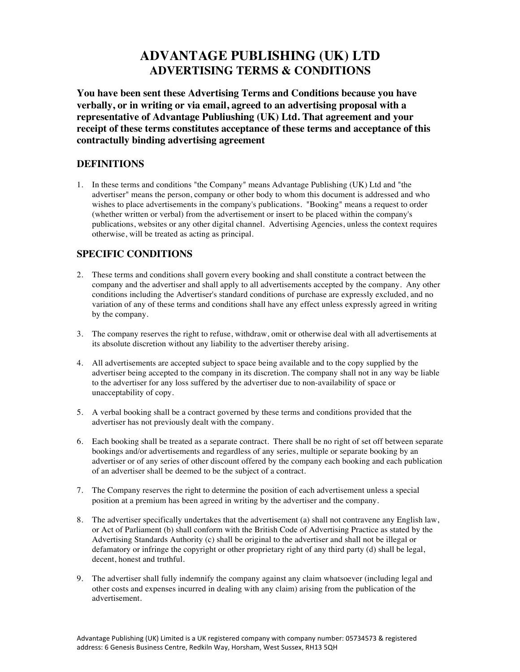# **ADVANTAGE PUBLISHING (UK) LTD ADVERTISING TERMS & CONDITIONS**

**You have been sent these Advertising Terms and Conditions because you have verbally, or in writing or via email, agreed to an advertising proposal with a representative of Advantage Publiushing (UK) Ltd. That agreement and your receipt of these terms constitutes acceptance of these terms and acceptance of this contractully binding advertising agreement**

## **DEFINITIONS**

1. In these terms and conditions "the Company" means Advantage Publishing (UK) Ltd and "the advertiser" means the person, company or other body to whom this document is addressed and who wishes to place advertisements in the company's publications. "Booking" means a request to order (whether written or verbal) from the advertisement or insert to be placed within the company's publications, websites or any other digital channel. Advertising Agencies, unless the context requires otherwise, will be treated as acting as principal.

# **SPECIFIC CONDITIONS**

- 2. These terms and conditions shall govern every booking and shall constitute a contract between the company and the advertiser and shall apply to all advertisements accepted by the company. Any other conditions including the Advertiser's standard conditions of purchase are expressly excluded, and no variation of any of these terms and conditions shall have any effect unless expressly agreed in writing by the company.
- 3. The company reserves the right to refuse, withdraw, omit or otherwise deal with all advertisements at its absolute discretion without any liability to the advertiser thereby arising.
- 4. All advertisements are accepted subject to space being available and to the copy supplied by the advertiser being accepted to the company in its discretion. The company shall not in any way be liable to the advertiser for any loss suffered by the advertiser due to non-availability of space or unacceptability of copy.
- 5. A verbal booking shall be a contract governed by these terms and conditions provided that the advertiser has not previously dealt with the company.
- 6. Each booking shall be treated as a separate contract. There shall be no right of set off between separate bookings and/or advertisements and regardless of any series, multiple or separate booking by an advertiser or of any series of other discount offered by the company each booking and each publication of an advertiser shall be deemed to be the subject of a contract.
- 7. The Company reserves the right to determine the position of each advertisement unless a special position at a premium has been agreed in writing by the advertiser and the company.
- 8. The advertiser specifically undertakes that the advertisement (a) shall not contravene any English law, or Act of Parliament (b) shall conform with the British Code of Advertising Practice as stated by the Advertising Standards Authority (c) shall be original to the advertiser and shall not be illegal or defamatory or infringe the copyright or other proprietary right of any third party (d) shall be legal, decent, honest and truthful.
- 9. The advertiser shall fully indemnify the company against any claim whatsoever (including legal and other costs and expenses incurred in dealing with any claim) arising from the publication of the advertisement.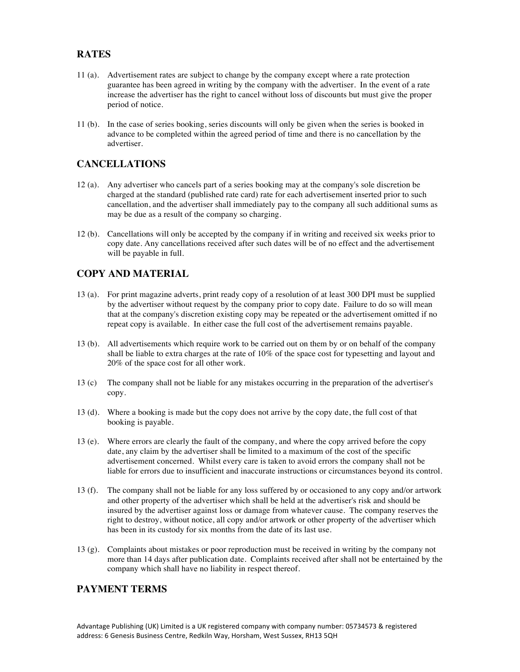# **RATES**

- 11 (a). Advertisement rates are subject to change by the company except where a rate protection guarantee has been agreed in writing by the company with the advertiser. In the event of a rate increase the advertiser has the right to cancel without loss of discounts but must give the proper period of notice.
- 11 (b). In the case of series booking, series discounts will only be given when the series is booked in advance to be completed within the agreed period of time and there is no cancellation by the advertiser.

## **CANCELLATIONS**

- 12 (a). Any advertiser who cancels part of a series booking may at the company's sole discretion be charged at the standard (published rate card) rate for each advertisement inserted prior to such cancellation, and the advertiser shall immediately pay to the company all such additional sums as may be due as a result of the company so charging.
- 12 (b). Cancellations will only be accepted by the company if in writing and received six weeks prior to copy date. Any cancellations received after such dates will be of no effect and the advertisement will be payable in full.

# **COPY AND MATERIAL**

- 13 (a). For print magazine adverts, print ready copy of a resolution of at least 300 DPI must be supplied by the advertiser without request by the company prior to copy date. Failure to do so will mean that at the company's discretion existing copy may be repeated or the advertisement omitted if no repeat copy is available. In either case the full cost of the advertisement remains payable.
- 13 (b). All advertisements which require work to be carried out on them by or on behalf of the company shall be liable to extra charges at the rate of 10% of the space cost for typesetting and layout and 20% of the space cost for all other work.
- 13 (c) The company shall not be liable for any mistakes occurring in the preparation of the advertiser's copy.
- 13 (d). Where a booking is made but the copy does not arrive by the copy date, the full cost of that booking is payable.
- 13 (e). Where errors are clearly the fault of the company, and where the copy arrived before the copy date, any claim by the advertiser shall be limited to a maximum of the cost of the specific advertisement concerned. Whilst every care is taken to avoid errors the company shall not be liable for errors due to insufficient and inaccurate instructions or circumstances beyond its control.
- 13 (f). The company shall not be liable for any loss suffered by or occasioned to any copy and/or artwork and other property of the advertiser which shall be held at the advertiser's risk and should be insured by the advertiser against loss or damage from whatever cause. The company reserves the right to destroy, without notice, all copy and/or artwork or other property of the advertiser which has been in its custody for six months from the date of its last use.
- 13 (g). Complaints about mistakes or poor reproduction must be received in writing by the company not more than 14 days after publication date. Complaints received after shall not be entertained by the company which shall have no liability in respect thereof.

#### **PAYMENT TERMS**